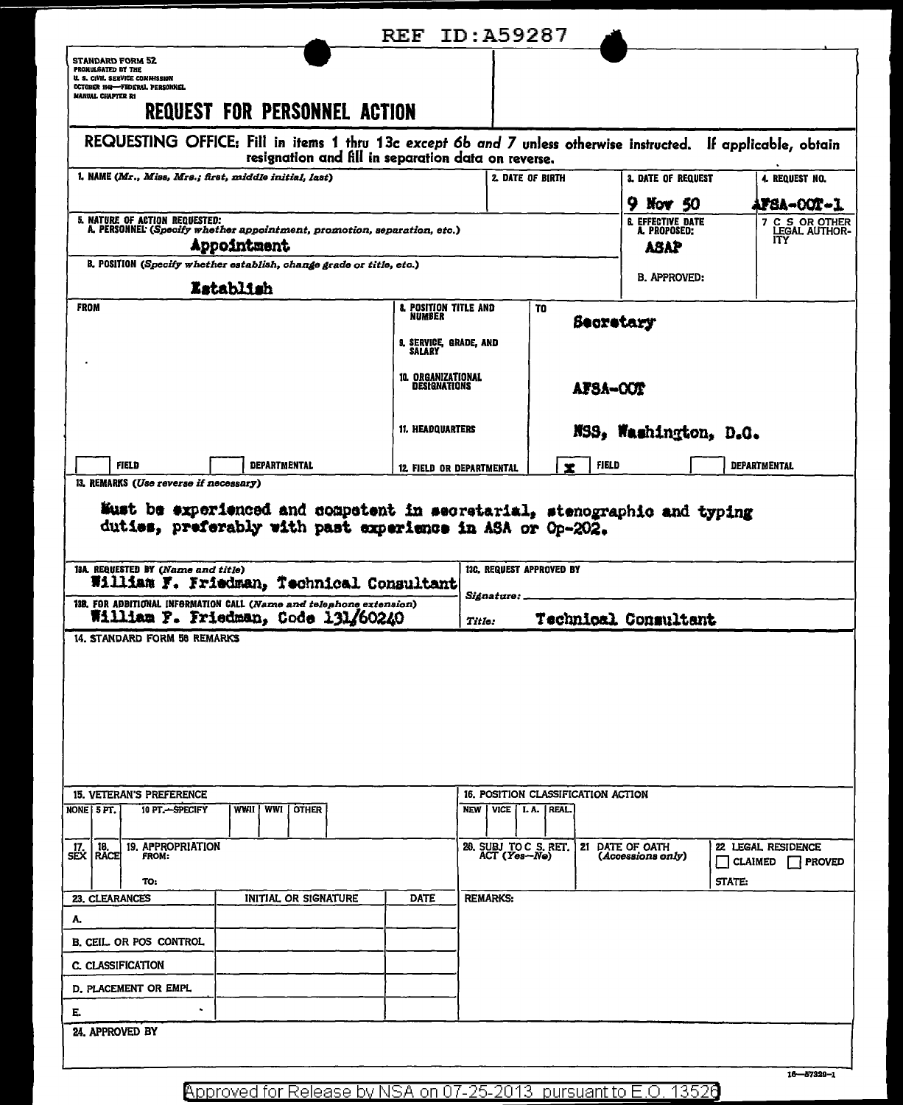| <b>STANDARD FORM 52</b><br>PROMULSATED BY THE<br>U. S. CIVIL SERVICE COMMISSION<br>OCTOBER 1941-FEDERAL PERSONNEL<br>MANUAL CHAPTER R1<br><b>REQUEST FOR PERSONNEL ACTION</b><br>REQUESTING OFFICE: Fill in items 1 thru 13c except 6b and 7 unless otherwise instructed. If applicable, obtain<br>resignation and fill in separation data on reverse.<br>l, NAME (Mr., Miss, Mrs.; first, middle initial, last)<br>2. DATE OF BIRTH<br><b>3. DATE OF REQUEST</b><br>4. REQUEST NO.<br>9 Nov 50<br>5. NATURE OF ACTION REQUESTED:<br><b>6. EFFECTIVE DATE</b><br>A. PERSONNEL (Specify whether appointment, promotion, separation, etc.)<br>A. PROPOSED:<br>ITY.<br>Appointment<br><b>ASAP</b><br>B. POSITION (Specify whether establish, change grade or title, etc.)<br><b>B. APPROVED:</b><br>Establish<br><b>FROM</b><br><b>8. POSITION TITLE AND</b><br>TO<br>NUMBER<br>Secretary<br>9. SERVICE, GRADE, AND<br><b>SALARY</b><br><b>10. ORGANIZATIONAL</b><br>DESIGNATIONS<br>AFSA-OOT | <b>AFSA-00T-1</b><br>7 C S OR OTHER<br>LEGAL AUTHOR- |
|--------------------------------------------------------------------------------------------------------------------------------------------------------------------------------------------------------------------------------------------------------------------------------------------------------------------------------------------------------------------------------------------------------------------------------------------------------------------------------------------------------------------------------------------------------------------------------------------------------------------------------------------------------------------------------------------------------------------------------------------------------------------------------------------------------------------------------------------------------------------------------------------------------------------------------------------------------------------------------------------|------------------------------------------------------|
|                                                                                                                                                                                                                                                                                                                                                                                                                                                                                                                                                                                                                                                                                                                                                                                                                                                                                                                                                                                            |                                                      |
|                                                                                                                                                                                                                                                                                                                                                                                                                                                                                                                                                                                                                                                                                                                                                                                                                                                                                                                                                                                            |                                                      |
|                                                                                                                                                                                                                                                                                                                                                                                                                                                                                                                                                                                                                                                                                                                                                                                                                                                                                                                                                                                            |                                                      |
|                                                                                                                                                                                                                                                                                                                                                                                                                                                                                                                                                                                                                                                                                                                                                                                                                                                                                                                                                                                            |                                                      |
|                                                                                                                                                                                                                                                                                                                                                                                                                                                                                                                                                                                                                                                                                                                                                                                                                                                                                                                                                                                            |                                                      |
|                                                                                                                                                                                                                                                                                                                                                                                                                                                                                                                                                                                                                                                                                                                                                                                                                                                                                                                                                                                            |                                                      |
|                                                                                                                                                                                                                                                                                                                                                                                                                                                                                                                                                                                                                                                                                                                                                                                                                                                                                                                                                                                            |                                                      |
|                                                                                                                                                                                                                                                                                                                                                                                                                                                                                                                                                                                                                                                                                                                                                                                                                                                                                                                                                                                            |                                                      |
|                                                                                                                                                                                                                                                                                                                                                                                                                                                                                                                                                                                                                                                                                                                                                                                                                                                                                                                                                                                            |                                                      |
| <b>11. HEADQUARTERS</b><br>NSS, Washington, D.G.                                                                                                                                                                                                                                                                                                                                                                                                                                                                                                                                                                                                                                                                                                                                                                                                                                                                                                                                           |                                                      |
| <b>FIELD</b><br><b>DEPARTMENTAL</b><br><b>FIELD</b><br><b>DEPARTMENTAL</b><br>12. FIELD OR DEPARTMENTAL                                                                                                                                                                                                                                                                                                                                                                                                                                                                                                                                                                                                                                                                                                                                                                                                                                                                                    |                                                      |
| 13A. REQUESTED BY (Name and title)<br>13C. REQUEST APPROVED BY<br>William F. Friedman, Technical Consultant<br><i><b>Signature:</b></i><br>13B, FOR ADBITIONAL INFORMATION CALL (Name and telephone extension)<br>William F. Friedman, Code 131/60240<br>Technical Consultant<br>Titlo:                                                                                                                                                                                                                                                                                                                                                                                                                                                                                                                                                                                                                                                                                                    |                                                      |
| 14. STANDARD FORM 58 REMARKS                                                                                                                                                                                                                                                                                                                                                                                                                                                                                                                                                                                                                                                                                                                                                                                                                                                                                                                                                               |                                                      |
| <b>15. VETERAN'S PREFERENCE</b><br>16. POSITION CLASSIFICATION ACTION                                                                                                                                                                                                                                                                                                                                                                                                                                                                                                                                                                                                                                                                                                                                                                                                                                                                                                                      |                                                      |
| WWI<br>í other<br>10 PT.-SPECIFY<br>WWII<br>NEW   VICE   I.A.   REAL.<br>NONE 5 PT.                                                                                                                                                                                                                                                                                                                                                                                                                                                                                                                                                                                                                                                                                                                                                                                                                                                                                                        |                                                      |
| 20. SUBJ TO C S. RET.<br>19. APPROPRIATION<br>21 DATE OF OATH<br>22 LEGAL RESIDENCE<br>$\begin{array}{c} \text{17.} \\ \text{SEX} \end{array}$ RACE<br>ACT (Yes-Ne)<br>(Accessions only)<br><b>FROM:</b><br>$\Box$ CLAIMED<br>TO:<br>STATE:                                                                                                                                                                                                                                                                                                                                                                                                                                                                                                                                                                                                                                                                                                                                                | <b>PROVED</b>                                        |
| 23. CLEARANCES<br><b>INITIAL OR SIGNATURE</b><br><b>DATE</b><br><b>REMARKS:</b>                                                                                                                                                                                                                                                                                                                                                                                                                                                                                                                                                                                                                                                                                                                                                                                                                                                                                                            |                                                      |
| А.<br>B. CEIL. OR POS CONTROL                                                                                                                                                                                                                                                                                                                                                                                                                                                                                                                                                                                                                                                                                                                                                                                                                                                                                                                                                              |                                                      |
| C. CLASSIFICATION                                                                                                                                                                                                                                                                                                                                                                                                                                                                                                                                                                                                                                                                                                                                                                                                                                                                                                                                                                          |                                                      |
| D. PLACEMENT OR EMPL                                                                                                                                                                                                                                                                                                                                                                                                                                                                                                                                                                                                                                                                                                                                                                                                                                                                                                                                                                       |                                                      |
| Е.                                                                                                                                                                                                                                                                                                                                                                                                                                                                                                                                                                                                                                                                                                                                                                                                                                                                                                                                                                                         |                                                      |
| 24. APPROVED BY                                                                                                                                                                                                                                                                                                                                                                                                                                                                                                                                                                                                                                                                                                                                                                                                                                                                                                                                                                            |                                                      |

Approved for Release by NSA on 07-25-2013 pursuant to E.O. 13526